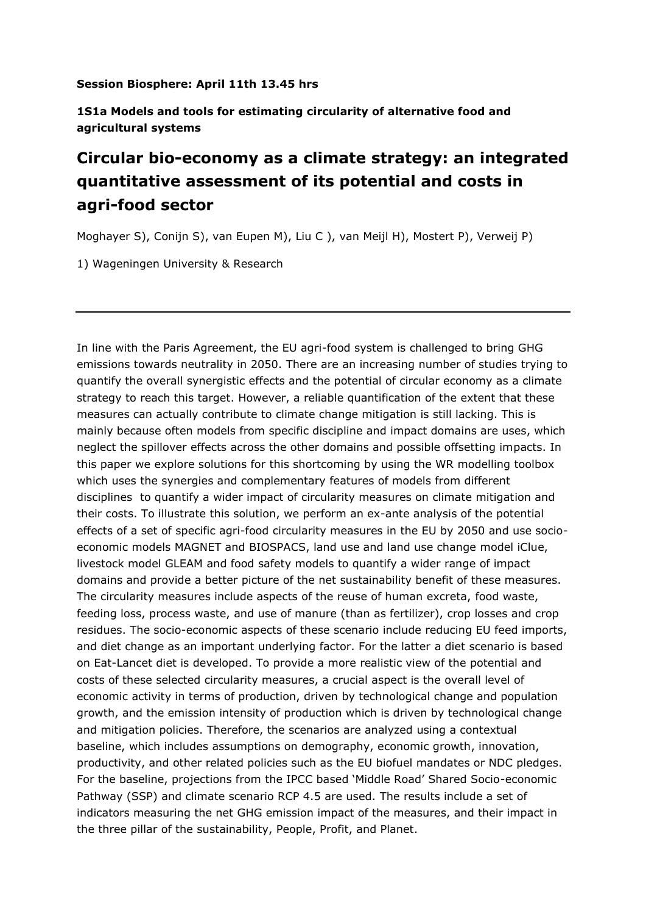## **Session Biosphere: April 11th 13.45 hrs**

**1S1a Models and tools for estimating circularity of alternative food and agricultural systems**

## **Circular bio-economy as a climate strategy: an integrated quantitative assessment of its potential and costs in agri-food sector**

Moghayer S), Conijn S), van Eupen M), Liu C ), van Meijl H), Mostert P), Verweij P)

1) Wageningen University & Research

In line with the Paris Agreement, the EU agri-food system is challenged to bring GHG emissions towards neutrality in 2050. There are an increasing number of studies trying to quantify the overall synergistic effects and the potential of circular economy as a climate strategy to reach this target. However, a reliable quantification of the extent that these measures can actually contribute to climate change mitigation is still lacking. This is mainly because often models from specific discipline and impact domains are uses, which neglect the spillover effects across the other domains and possible offsetting impacts. In this paper we explore solutions for this shortcoming by using the WR modelling toolbox which uses the synergies and complementary features of models from different disciplines to quantify a wider impact of circularity measures on climate mitigation and their costs. To illustrate this solution, we perform an ex-ante analysis of the potential effects of a set of specific agri-food circularity measures in the EU by 2050 and use socioeconomic models MAGNET and BIOSPACS, land use and land use change model iClue, livestock model GLEAM and food safety models to quantify a wider range of impact domains and provide a better picture of the net sustainability benefit of these measures. The circularity measures include aspects of the reuse of human excreta, food waste, feeding loss, process waste, and use of manure (than as fertilizer), crop losses and crop residues. The socio-economic aspects of these scenario include reducing EU feed imports, and diet change as an important underlying factor. For the latter a diet scenario is based on Eat-Lancet diet is developed. To provide a more realistic view of the potential and costs of these selected circularity measures, a crucial aspect is the overall level of economic activity in terms of production, driven by technological change and population growth, and the emission intensity of production which is driven by technological change and mitigation policies. Therefore, the scenarios are analyzed using a contextual baseline, which includes assumptions on demography, economic growth, innovation, productivity, and other related policies such as the EU biofuel mandates or NDC pledges. For the baseline, projections from the IPCC based 'Middle Road' Shared Socio-economic Pathway (SSP) and climate scenario RCP 4.5 are used. The results include a set of indicators measuring the net GHG emission impact of the measures, and their impact in the three pillar of the sustainability, People, Profit, and Planet.